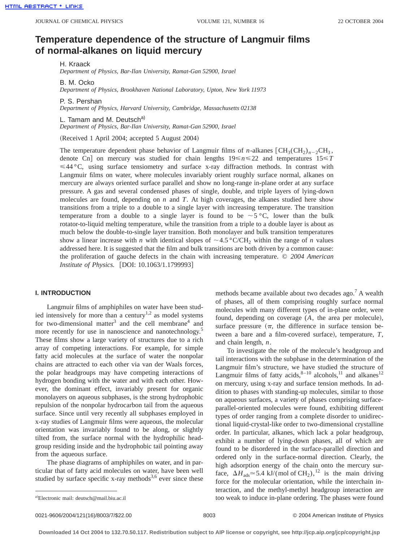# **Temperature dependence of the structure of Langmuir films of normal-alkanes on liquid mercury**

H. Kraack

*Department of Physics, Bar-Ilan University, Ramat-Gan 52900, Israel*

B. M. Ocko

*Department of Physics, Brookhaven National Laboratory, Upton, New York 11973*

P. S. Pershan

*Department of Physics, Harvard University, Cambridge, Massachusetts 02138*

L. Tamam and M. Deutsch<sup>a)</sup>

*Department of Physics, Bar-Ilan University, Ramat-Gan 52900, Israel*

(Received 1 April 2004; accepted 5 August 2004)

The temperature dependent phase behavior of Langmuir films of *n*-alkanes  $[CH<sub>3</sub>(CH<sub>2</sub>)<sub>n-2</sub>CH<sub>3</sub>$ , denote Cn] on mercury was studied for chain lengths  $19 \le n \le 22$  and temperatures  $15 \le T$  $\leq 44$  °C, using surface tensiometry and surface x-ray diffraction methods. In contrast with Langmuir films on water, where molecules invariably orient roughly surface normal, alkanes on mercury are always oriented surface parallel and show no long-range in-plane order at any surface pressure. A gas and several condensed phases of single, double, and triple layers of lying-down molecules are found, depending on *n* and *T*. At high coverages, the alkanes studied here show transitions from a triple to a double to a single layer with increasing temperature. The transition temperature from a double to a single layer is found to be  $\sim 5 \degree C$ , lower than the bulk rotator-to-liquid melting temperature, while the transition from a triple to a double layer is about as much below the double-to-single layer transition. Both monolayer and bulk transition temperatures show a linear increase with *n* with identical slopes of  $\sim 4.5 \degree C/CH_2$  within the range of *n* values addressed here. It is suggested that the film and bulk transitions are both driven by a common cause: the proliferation of gauche defects in the chain with increasing temperature. © *2004 American Institute of Physics.* [DOI: 10.1063/1.1799993]

## **I. INTRODUCTION**

Langmuir films of amphiphiles on water have been studied intensively for more than a century<sup>1,2</sup> as model systems for two-dimensional matter<sup>3</sup> and the cell membrane<sup>4</sup> and more recently for use in nanoscience and nanotechnology.<sup>5</sup> These films show a large variety of structures due to a rich array of competing interactions. For example, for simple fatty acid molecules at the surface of water the nonpolar chains are attracted to each other via van der Waals forces, the polar headgroups may have competing interactions of hydrogen bonding with the water and with each other. However, the dominant effect, invariably present for organic monolayers on aqueous subphases, is the strong hydrophobic repulsion of the nonpolar hydrocarbon tail from the aqueous surface. Since until very recently all subphases employed in x-ray studies of Langmuir films were aqueous, the molecular orientation was invariably found to be along, or slightly tilted from, the surface normal with the hydrophilic headgroup residing inside and the hydrophobic tail pointing away from the aqueous surface.

The phase diagrams of amphiphiles on water, and in particular that of fatty acid molecules on water, have been well studied by surface specific x-ray methods<sup>3,6</sup> ever since these methods became available about two decades ago.<sup>7</sup> A wealth of phases, all of them comprising roughly surface normal molecules with many different types of in-plane order, were found, depending on coverage  $(A,$  the area per molecule), surface pressure  $(\pi,$  the difference in surface tension between a bare and a film-covered surface), temperature,  $T$ , and chain length, *n*.

To investigate the role of the molecule's headgroup and tail interactions with the subphase in the determination of the Langmuir film's structure, we have studied the structure of Langmuir films of fatty acids,  $8-10$  alcohols,  $11$  and alkanes<sup>12</sup> on mercury, using x-ray and surface tension methods. In addition to phases with standing-up molecules, similar to those on aqueous surfaces, a variety of phases comprising surfaceparallel-oriented molecules were found, exhibiting different types of order ranging from a complete disorder to unidirectional liquid-crystal-like order to two-dimensional crystalline order. In particular, alkanes, which lack a polar headgroup, exhibit a number of lying-down phases, all of which are found to be disordered in the surface-parallel direction and ordered only in the surface-normal direction. Clearly, the high adsorption energy of the chain onto the mercury surface,  $\Delta H_{ads} \approx 5.4 \text{ kJ/(mol of CH}_2),^{12}$  is the main driving force for the molecular orientation, while the interchain interaction, and the methyl-methyl headgroup interaction are too weak to induce in-plane ordering. The phases were found

0021-9606/2004/121(16)/8003/7/\$22.00 © 2004 American Institute of Physics 8003

a)Electronic mail: deutsch@mail.biu.ac.il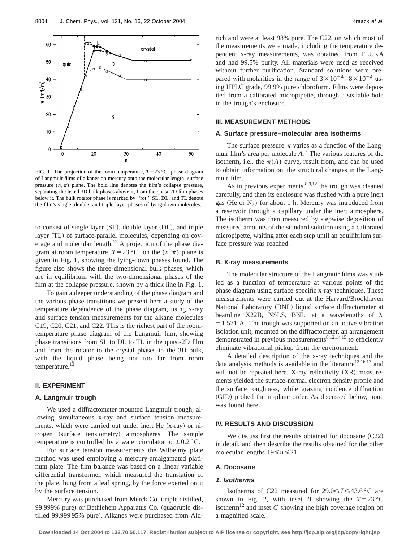

FIG. 1. The projection of the room-temperature,  $T=23 \degree C$ , phase diagram of Langmuir films of alkanes on mercury onto the molecular length–surface pressure  $(n,\pi)$  plane. The bold line denotes the film's collapse pressure, separating the listed 3D bulk phases above it, from the quasi-2D film phases below it. The bulk rotator phase is marked by ''rot.'' SL, DL, and TL denote the film's single, double, and triple layer phases of lying-down molecules.

to consist of single layer  $(SL)$ , double layer  $(DL)$ , and triple layer (TL) of surface-parallel molecules, depending on coverage and molecular length.12 A projection of the phase diagram at room temperature,  $T=23$ °C, on the  $(n,\pi)$  plane is given in Fig. 1, showing the lying-down phases found. The figure also shows the three-dimensional bulk phases, which are in equilibrium with the two-dimensional phases of the film at the collapse pressure, shown by a thick line in Fig. 1.

To gain a deeper understanding of the phase diagram and the various phase transitions we present here a study of the temperature dependence of the phase diagram, using x-ray and surface tension measurements for the alkane molecules C19, C20, C21, and C22. This is the richest part of the roomtemperature phase diagram of the Langmuir film, showing phase transitions from SL to DL to TL in the quasi-2D film and from the rotator to the crystal phases in the 3D bulk, with the liquid phase being not too far from room temperature.

#### **II. EXPERIMENT**

## **A. Langmuir trough**

We used a diffractometer-mounted Langmuir trough, allowing simultaneous x-ray and surface tension measurements, which were carried out under inert He  $(x-ray)$  or nitrogen (surface tensiometry) atmospheres. The sample temperature is controlled by a water circulator to  $\pm 0.2$  °C.

For surface tension measurements the Wilhelmy plate method was used employing a mercury-amalgamated platinum plate. The film balance was based on a linear variable differential transformer, which measured the translation of the plate, hung from a leaf spring, by the force exerted on it by the surface tension.

Mercury was purchased from Merck Co. (triple distilled, 99.999% pure) or Bethlehem Apparatus Co. (quadruple distilled 99.999 95% pure). Alkanes were purchased from Aldrich and were at least 98% pure. The C22, on which most of the measurements were made, including the temperature dependent x-ray measurements, was obtained from FLUKA and had 99.5% purity. All materials were used as received without further purification. Standard solutions were prepared with molarities in the range of  $3 \times 10^{-4} - 8 \times 10^{-4}$  using HPLC grade, 99.9% pure chloroform. Films were deposited from a calibrated micropipette, through a sealable hole in the trough's enclosure.

## **III. MEASUREMENT METHODS**

#### **A. Surface pressure–molecular area isotherms**

The surface pressure  $\pi$  varies as a function of the Langmuir film's area per molecule *A*. <sup>2</sup> The various features of the isotherm, i.e., the  $\pi(A)$  curve, result from, and can be used to obtain information on, the structural changes in the Langmuir film.

As in previous experiments,  $8,9,12$  the trough was cleaned carefully, and then its enclosure was flushed with a pure inert gas (He or  $N_2$ ) for about 1 h. Mercury was introduced from a reservoir through a capillary under the inert atmosphere. The isotherm was then measured by stepwise deposition of measured amounts of the standard solution using a calibrated micropipette, waiting after each step until an equilibrium surface pressure was reached.

### **B. X-ray measurements**

The molecular structure of the Langmuir films was studied as a function of temperature at various points of the phase diagram using surface-specific x-ray techniques. These measurements were carried out at the Harvard/Brookhaven National Laboratory (BNL) liquid surface diffractometer at beamline X22B, NSLS, BNL, at a wavelengths of  $\lambda$  $=$  1.571 Å. The trough was supported on an active vibration isolation unit, mounted on the diffractometer, an arrangement demonstrated in previous measurements $8,12,14,15$  to efficiently eliminate vibrational pickup from the environment.

A detailed description of the x-ray techniques and the data analysis methods is available in the literature $12,16,17$  and will not be repeated here. X-ray reflectivity  $(XR)$  measurements yielded the surface-normal electron density profile and the surface roughness, while grazing incidence diffraction (GID) probed the in-plane order. As discussed below, none was found here.

## **IV. RESULTS AND DISCUSSION**

We discuss first the results obtained for docosane  $(C22)$ in detail, and then describe the results obtained for the other molecular lengths  $19 \le n \le 21$ .

## **A. Docosane**

## **1. Isotherms**

Isotherms of C22 measured for  $29.0 \le T \le 43.6$  °C are shown in Fig. 2, with inset *B* showing the  $T=23 \degree C$ isotherm<sup>12</sup> and inset  $C$  showing the high coverage region on a magnified scale.

**Downloaded 14 Oct 2004 to 132.70.50.117. Redistribution subject to AIP license or copyright, see http://jcp.aip.org/jcp/copyright.jsp**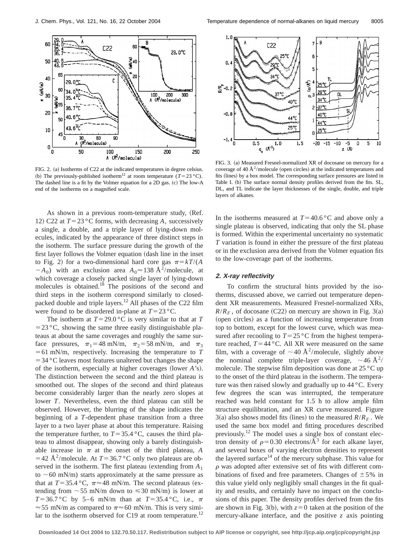

FIG. 2. (a) Isotherms of C22 at the indicated temperatures in degree celsius. (b) The previously-published isotherm<sup>12</sup> at room temperature ( $T=23 \text{ }^{\circ} \text{C}$ ). The dashed line is a fit by the Volmer equation for a 2D gas. (c) The low-A end of the isotherms on a magnified scale.

As shown in a previous room-temperature study, (Ref. 12) C22 at  $T=23$  °C forms, with decreasing *A*, successively a single, a double, and a triple layer of lying-down molecules, indicated by the appearance of three distinct steps in the isotherm. The surface pressure during the growth of the first layer follows the Volmer equation (dash line in the inset to Fig. 2) for a two-dimensional hard core gas  $\pi = kT/(A)$  $-A_0$ ) with an exclusion area  $A_0 \approx 138 \text{ Å}^2/\text{molecule}$ , at which coverage a closely packed single layer of lying-down molecules is obtained.<sup>18</sup> The positions of the second and third steps in the isotherm correspond similarly to closedpacked double and triple layers.<sup>12</sup> All phases of the C22 film were found to be disordered in-plane at  $T=23 \degree C$ .

The isotherm at  $T=29.0$  °C is very similar to that at *T*  $=$  23 °C, showing the same three easily distinguishable plateaus at about the same coverages and roughly the same surface pressures,  $\pi_1=48$  mN/m,  $\pi_2=58$  mN/m, and  $\pi_3$  $=61$  mN/m, respectively. Increasing the temperature to *T*  $=$  34 °C leaves most features unaltered but changes the shape of the isotherm, especially at higher coverages (lower *A*'s). The distinction between the second and the third plateau is smoothed out. The slopes of the second and third plateaus become considerably larger than the nearly zero slopes at lower *T*. Nevertheless, even the third plateau can still be observed. However, the blurring of the shape indicates the beginning of a *T*-dependent phase transition from a three layer to a two layer phase at about this temperature. Raising the temperature further, to  $T=35.4 \degree C$ , causes the third plateau to almost disappear, showing only a barely distinguishable increase in  $\pi$  at the onset of the third plateau, *A* =42 Å<sup>2</sup>/molecule. At  $T=36.7$  °C only two plateaus are observed in the isotherm. The first plateau (extending from  $A_1$ ) to  $\sim$  60 mN/m) starts approximately at the same pressure as that at  $T=35.4 \text{ °C}$ ,  $\pi \approx 48 \text{ mN/m}$ . The second plateaus (extending from  $\sim$  55 mN/m down to  $\leq$  30 mN/m) is lower at *T*=36.7 °C by 5–6 mN/m than at *T*=35.4 °C, i.e.,  $\pi$  $\approx$  55 mN/m as compared to  $\pi \approx$  60 mN/m. This is very similar to the isotherm observed for C19 at room temperature.<sup>12</sup>



FIG. 3. (a) Measured Fresnel-normalized XR of docosane on mercury for a coverage of 40  $\AA^2$ /molecule (open circles) at the indicated temperatures and fits (lines) by a box model. The corresponding surface pressures are listed in Table I. (b) The surface normal density profiles derived from the fits. SL, DL, and TL indicate the layer thicknesses of the single, double, and triple layers of alkanes.

In the isotherms measured at  $T=40.6 \degree C$  and above only a single plateau is observed, indicating that only the SL phase is formed. Within the experimental uncertainty no systematic *T* variation is found in either the pressure of the first plateau or in the exclusion area derived from the Volmer equation fits to the low-coverage part of the isotherms.

# **2. X-ray reflectivity**

To confirm the structural hints provided by the isotherms, discussed above, we carried out temperature dependent XR measurements. Measured Fresnel-normalized XRs,  $R/R<sub>F</sub>$ , of docosane (C22) on mercury are shown in Fig. 3(a) (open circles) as a function of increasing temperature from top to bottom, except for the lowest curve, which was measured after recooling to  $T=25$  °C from the highest temperature reached,  $T=44 \degree C$ . All XR were measured on the same film, with a coverage of  $\sim$  40 Å<sup>2</sup>/molecule, slightly above the nominal complete triple-layer coverage,  $\sim$  46 Å<sup>2</sup>/ molecule. The stepwise film deposition was done at 25 °C up to the onset of the third plateau in the isotherm. The temperature was then raised slowly and gradually up to 44 °C. Every few degrees the scan was interrupted, the temperature reached was held constant for 1.5 h to allow ample film structure equilibration, and an XR curve measured. Figure 3(a) also shows model fits (lines) to the measured  $R/R_F$ . We used the same box model and fitting procedures described previously.<sup>12</sup> The model uses a single box of constant electron density of  $\rho$ =0.30 electrons/Å<sup>3</sup> for each alkane layer, and several boxes of varying electron densities to represent the layered surface $14$  of the mercury subphase. This value for  $\rho$  was adopted after extensive set of fits with different combinations of fixed and free parameters. Changes of  $\pm$  5% in this value yield only negligibly small changes in the fit quality and results, and certainly have no impact on the conclusions of this paper. The density profiles derived from the fits are shown in Fig. 3(b), with  $z=0$  taken at the position of the mercury-alkane interface, and the positive *z* axis pointing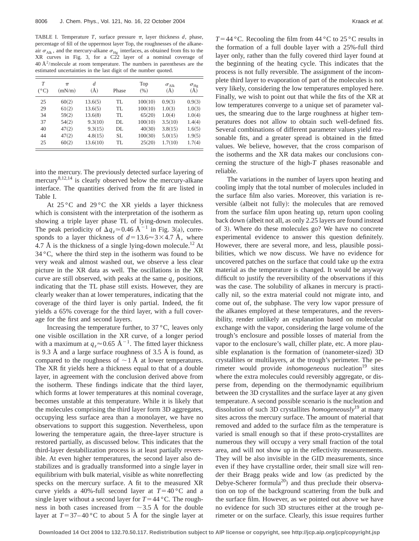TABLE I. Temperature *T*, surface pressure  $\pi$ , layer thickness *d*, phase, percentage of fill of the uppermost layer Top, the roughnesses of the alkaneair  $\sigma_{\text{Alk}}$ , and the mercury-alkane  $\sigma_{\text{Hg}}$  interfaces, as obtained from fits to the XR curves in Fig. 3, for a C22 layer of a nominal coverage of  $40 \text{ Å}^2/\text{molecule}$  at room temperature. The numbers in parentheses are the estimated uncertainties in the last digit of the number quoted.

| T<br>$(^{\circ}C)$ | $\pi$<br>(mN/m) | d<br>(A) | Phase | Top<br>(% ) | $\sigma_{\rm Alk}$<br>$\ddot{(\AA)}$ | $\sigma_{\rm Hg}$<br>$\rm(\AA)$ |
|--------------------|-----------------|----------|-------|-------------|--------------------------------------|---------------------------------|
| 25                 | 60(2)           | 13.6(5)  | TL    | 100(10)     | 0.9(3)                               | 0.9(3)                          |
| 29                 | 61(2)           | 13.6(5)  | TL    | 100(10)     | 1.0(3)                               | 1.0(3)                          |
| 34                 | 59(2)           | 13.6(8)  | TL    | 65(20)      | 1.0(4)                               | 1.0(4)                          |
| 37                 | 54(2)           | 9.3(10)  | DL    | 100(10)     | 3.5(10)                              | 1.4(4)                          |
| 40                 | 47(2)           | 9.3(15)  | DL    | 40(30)      | 3.8(15)                              | 1.6(5)                          |
| 44                 | 47(2)           | 4.8(15)  | SL.   | 100(30)     | 5.0(15)                              | 1.9(5)                          |
| 25                 | 60(2)           | 13.6(10) | TL    | 25(20)      | 1.7(10)                              | 1.7(4)                          |

into the mercury. The previously detected surface layering of mercury $^{8,12,14}$  is clearly observed below the mercury-alkane interface. The quantities derived from the fit are listed in Table I.

At  $25^{\circ}$ C and  $29^{\circ}$ C the XR yields a layer thickness which is consistent with the interpretation of the isotherm as showing a triple layer phase TL of lying-down molecules. The peak periodicity of  $\Delta q_z \approx 0.46 \text{ Å}^{-1}$  in Fig. 3(a), corresponds to a layer thickness of  $d=13.6 \approx 3 \times 4.7$  Å, where 4.7 Å is the thickness of a single lying-down molecule.<sup>12</sup> At  $34^{\circ}$ C, where the third step in the isotherm was found to be very weak and almost washed out, we observe a less clear picture in the XR data as well. The oscillations in the XR curve are still observed, with peaks at the same  $q<sub>z</sub>$  positions, indicating that the TL phase still exists. However, they are clearly weaker than at lower temperatures, indicating that the coverage of the third layer is only partial. Indeed, the fit yields a 65% coverage for the third layer, with a full coverage for the first and second layers.

Increasing the temperature further, to 37 °C, leaves only one visible oscillation in the XR curve, of a longer period with a maximum at  $q_z \approx 0.65 \text{ Å}^{-1}$ . The fitted layer thickness is 9.3 Å and a large surface roughness of 3.5 Å is found, as compared to the roughness of  $\sim$  1 Å at lower temperatures. The XR fit yields here a thickness equal to that of a double layer, in agreement with the conclusion derived above from the isotherm. These findings indicate that the third layer, which forms at lower temperatures at this nominal coverage, becomes unstable at this temperature. While it is likely that the molecules comprising the third layer form 3D aggregates, occupying less surface area than a monolayer, we have no observations to support this suggestion. Nevertheless, upon lowering the temperature again, the three-layer structure is restored partially, as discussed below. This indicates that the third-layer destabilization process is at least partially reversible. At even higher temperatures, the second layer also destabilizes and is gradually transformed into a single layer in equilibrium with bulk material, visible as white nonreflecting specks on the mercury surface. A fit to the measured XR curve yields a 40%-full second layer at  $T=40$  °C and a single layer without a second layer for  $T=44$  °C. The roughness in both cases increased from  $\sim$ 3.5 Å for the double layer at  $T=37-40$  °C to about 5 Å for the single layer at  $T=44$  °C. Recooling the film from  $44$  °C to 25 °C results in the formation of a full double layer with a 25%-full third layer only, rather than the fully covered third layer found at the beginning of the heating cycle. This indicates that the process is not fully reversible. The assignment of the incomplete third layer to evaporation of part of the molecules is not very likely, considering the low temperatures employed here. Finally, we wish to point out that while the fits of the XR at low temperatures converge to a unique set of parameter values, the smearing due to the large roughness at higher temperatures does not allow to obtain such well-defined fits. Several combinations of different parameter values yield reasonable fits, and a greater spread is obtained in the fitted values. We believe, however, that the cross comparison of the isotherms and the XR data makes our conclusions concerning the structure of the high-*T* phases reasonable and reliable.

The variations in the number of layers upon heating and cooling imply that the total number of molecules included in the surface film also varies. Moreover, this variation is reversible (albeit not fully): the molecules that are removed from the surface film upon heating up, return upon cooling back down (albeit not all, as only 2.25 layers are found instead of 3). Where do these molecules go? We have no concrete experimental evidence to answer this question definitely. However, there are several more, and less, plausible possibilities, which we now discuss. We have no evidence for uncovered patches on the surface that could take up the extra material as the temperature is changed. It would be anyway difficult to justify the reversibility of the observations if this was the case. The solubility of alkanes in mercury is practically nil, so the extra material could not migrate into, and come out of, the subphase. The very low vapor pressure of the alkanes employed at these temperatures, and the reversibility, render unlikely an explanation based on molecular exchange with the vapor, considering the large volume of the trough's enclosure and possible losses of material from the vapor to the enclosure's wall, chiller plate, etc. A more plausible explanation is the formation of (nanometer-sized) 3D crystallites or multilayers, at the trough's perimeter. The perimeter would provide *inhomogeneous* nucleation<sup>19</sup> sites where the extra molecules could reversibly aggregate, or disperse from, depending on the thermodynamic equilibrium between the 3D crystallites and the surface layer at any given temperature. A second possible scenario is the nucleation and dissolution of such 3D crystallites *homogeneously*<sup>19</sup> at many sites across the mercury surface. The amount of material that removed and added to the surface film as the temperature is varied is small enough so that if these proto-crystallites are numerous they will occupy a very small fraction of the total area, and will not show up in the reflectivity measurements. They will be also invisible in the GID measurements, since even if they have crystalline order, their small size will render their Bragg peaks wide and low (as predicted by the Debye-Scherer formula<sup>20</sup>) and thus preclude their observation on top of the background scattering from the bulk and the surface film. However, as we pointed out above we have no evidence for such 3D structures either at the trough perimeter or on the surface. Clearly, this issue requires further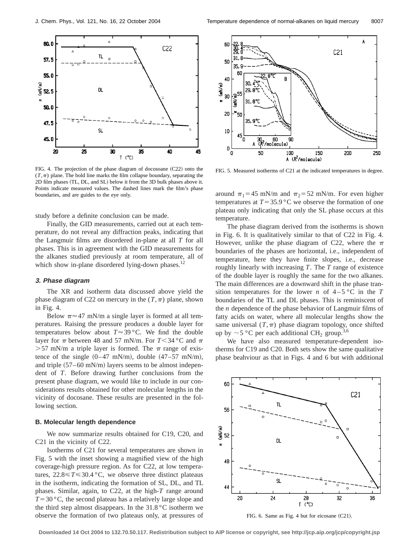

FIG. 4. The projection of the phase diagram of docosoane  $(C22)$  onto the  $(T, \pi)$  plane. The bold line marks the film collapse boundary, separating the 2D film phases (TL, DL, and SL) below it from the 3D bulk phases above it. Points indicate measured values. The dashed lines mark the film's phase boundaries, and are guides to the eye only.

study before a definite conclusion can be made.

Finally, the GID measurements, carried out at each temperature, do not reveal any diffraction peaks, indicating that the Langmuir films are disordered in-plane at all *T* for all phases. This is in agreement with the GID measurements for the alkanes studied previously at room temperature, all of which show in-plane disordered lying-down phases. $^{12}$ 

#### **3. Phase diagram**

The XR and isotherm data discussed above yield the phase diagram of C22 on mercury in the  $(T, \pi)$  plane, shown in Fig. 4.

Below  $\pi \approx 47$  mN/m a single layer is formed at all temperatures. Raising the pressure produces a double layer for temperatures below about  $T \approx 39 \degree C$ . We find the double layer for  $\pi$  between 48 and 57 mN/m. For  $T < 34$  °C and  $\pi$  $>57$  mN/m a triple layer is formed. The  $\pi$  range of existence of the single  $(0-47 \text{ mN/m})$ , double  $(47-57 \text{ mN/m})$ , and triple  $(57–60 \text{ mN/m})$  layers seems to be almost independent of *T*. Before drawing further conclusions from the present phase diagram, we would like to include in our considerations results obtained for other molecular lengths in the vicinity of docosane. These results are presented in the following section.

## **B. Molecular length dependence**

We now summarize results obtained for C19, C20, and C21 in the vicinity of C22.

Isotherms of C21 for several temperatures are shown in Fig. 5 with the inset showing a magnified view of the high coverage-high pressure region. As for C22, at low temperatures,  $22.8 \le T \le 30.4 \degree C$ , we observe three distinct plateaus in the isotherm, indicating the formation of SL, DL, and TL phases. Similar, again, to C22, at the high-*T* range around  $T=30$  °C, the second plateau has a relatively large slope and the third step almost disappears. In the  $31.8\,^{\circ}\text{C}$  isotherm we observe the formation of two plateaus only, at pressures of



FIG. 5. Measured isotherms of C21 at the indicated temperatures in degree.

around  $\pi_1$ =45 mN/m and  $\pi_2$ =52 mN/m. For even higher temperatures at  $T=35.9 \degree C$  we observe the formation of one plateau only indicating that only the SL phase occurs at this temperature.

The phase diagram derived from the isotherms is shown in Fig. 6. It is qualitatively similar to that of C22 in Fig. 4. However, unlike the phase diagram of C22, where the  $\pi$ boundaries of the phases are horizontal, i.e., independent of temperature, here they have finite slopes, i.e., decrease roughly linearly with increasing *T*. The *T* range of existence of the double layer is roughly the same for the two alkanes. The main differences are a downward shift in the phase transition temperatures for the lower *n* of  $4-5$ °C in the *T* boundaries of the TL and DL phases. This is reminiscent of the *n* dependence of the phase behavior of Langmuir films of fatty acids on water, where all molecular lengths show the same universal  $(T,\pi)$  phase diagram topology, once shifted up by  $\sim$  5 °C per each additional CH<sub>2</sub> group.<sup>3,6</sup>

We have also measured temperature-dependent isotherms for C19 and C20. Both sets show the same qualitative phase beahviour as that in Figs. 4 and 6 but with additional





**Downloaded 14 Oct 2004 to 132.70.50.117. Redistribution subject to AIP license or copyright, see http://jcp.aip.org/jcp/copyright.jsp**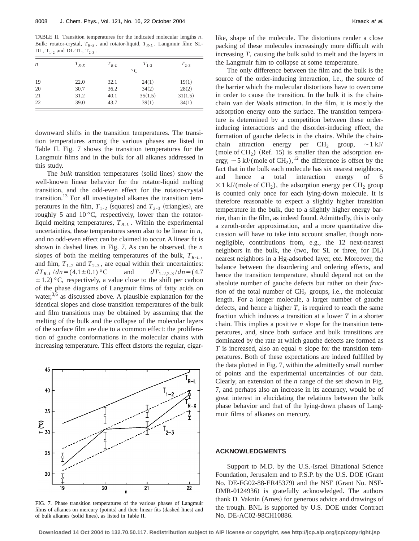TABLE II. Transition temperatures for the indicated molecular lengths *n*. Bulk: rotator-crystal,  $T_{R-X}$ , and rotator-liquid,  $T_{R-L}$ . Langmuir film: SL-DL,  $T_{1-2}$  and DL-TL,  $T_{2-3}$ .

| n  | $T_{R-X}$ | $T_{R-L}$ | $T_{1-2}$      | $T_{2-3}$ |  |
|----|-----------|-----------|----------------|-----------|--|
|    |           |           | $\circ$ $\cap$ |           |  |
| 19 | 22.0      | 32.1      | 24(1)          | 19(1)     |  |
| 20 | 30.7      | 36.2      | 34(2)          | 28(2)     |  |
| 21 | 31.2      | 40.1      | 35(1.5)        | 31(1.5)   |  |
| 22 | 39.0      | 43.7      | 39(1)          | 34(1)     |  |

downward shifts in the transition temperatures. The transition temperatures among the various phases are listed in Table II. Fig. 7 shows the transition temperatures for the Langmuir films and in the bulk for all alkanes addressed in this study.

The *bulk* transition temperatures (solid lines) show the well-known linear behavior for the rotator-liquid melting transition, and the odd-even effect for the rotator-crystal transition.<sup>13</sup> For all investigated alkanes the transition temperatures in the film,  $T_{1-2}$  (squares) and  $T_{2-3}$  (triangles), are roughly 5 and  $10^{\circ}$ C, respectively, lower than the rotatorliquid melting temperatures,  $T_{R-L}$ . Within the experimental uncertainties, these temperatures seem also to be linear in *n*, and no odd-even effect can be claimed to occur. A linear fit is shown in dashed lines in Fig. 7. As can be observed, the *n* slopes of both the melting temperatures of the bulk,  $T_{R-L}$ , and film,  $T_{1-2}$  and  $T_{2-3}$ , are equal within their uncertainties:  $dT_{R-L}/dn = (4.1 \pm 0.1)$  °C and  $dT_{1-2,2-3}/dn = (4.7$  $\pm$  1.2) °C, respectively, a value close to the shift per carbon of the phase diagrams of Langmuir films of fatty acids on water, $3,6$  as discussed above. A plausible explanation for the identical slopes and close transition temperatures of the bulk and film transitions may be obtained by assuming that the melting of the bulk and the collapse of the molecular layers of the surface film are due to a common effect: the proliferation of gauche conformations in the molecular chains with increasing temperature. This effect distorts the regular, cigar-



FIG. 7. Phase transition temperatures of the various phases of Langmuir films of alkanes on mercury (points) and their linear fits (dashed lines) and of bulk alkanes (solid lines), as listed in Table II.

like, shape of the molecule. The distortions render a close packing of these molecules increasingly more difficult with increasing *T*, causing the bulk solid to melt and the layers in the Langmuir film to collapse at some temperature.

The only difference between the film and the bulk is the source of the order-inducing interaction, i.e., the source of the barrier which the molecular distortions have to overcome in order to cause the transition. In the bulk it is the chainchain van der Waals attraction. In the film, it is mostly the adsorption energy onto the surface. The transition temperature is determined by a competition between these orderinducing interactions and the disorder-inducing effect, the formation of gauche defects in the chains. While the chainchain attraction energy per  $CH_2$  group,  $\sim$ 1 kJ/ (mole of  $CH<sub>2</sub>$ ) (Ref. 15) is smaller than the adsorption energy,  $\sim$  5 kJ/(mole of CH<sub>2</sub>),<sup>12</sup> the difference is offset by the fact that in the bulk each molecule has six nearest neighbors, and hence a total interaction energy of 6  $\times$ 1 kJ/(mole of CH<sub>2</sub>), the adsorption energy per CH<sub>2</sub> group is counted only once for each lying-down molecule. It is therefore reasonable to expect a slightly higher transition temperature in the bulk, due to a slightly higher energy barrier, than in the film, as indeed found. Admittedly, this is only a zeroth-order approximation, and a more quantitative discussion will have to take into account smaller, though nonnegligible, contributions from, e.g., the 12 next-nearest neighbors in the bulk, the (two, for SL or three, for DL) nearest neighbors in a Hg-adsorbed layer, etc. Moreover, the balance between the disordering and ordering effects, and hence the transition temperature, should depend not on the absolute number of gauche defects but rather on their *fraction* of the total number of  $CH<sub>2</sub>$  groups, i.e., the molecular length. For a longer molecule, a larger number of gauche defects, and hence a higher *T*, is required to reach the same fraction which induces a transition at a lower *T* in a shorter chain. This implies a positive *n* slope for the transition temperatures, and, since both surface and bulk transitions are dominated by the rate at which gauche defects are formed as *T* is increased, also an equal *n* slope for the transition temperatures. Both of these expectations are indeed fulfilled by the data plotted in Fig. 7, within the admittedly small number of points and the experimental uncertainties of our data. Clearly, an extension of the *n* range of the set shown in Fig. 7, and perhaps also an increase in its accuracy, would be of great interest in elucidating the relations between the bulk phase behavior and that of the lying-down phases of Langmuir films of alkanes on mercury.

#### **ACKNOWLEDGMENTS**

Support to M.D. by the U.S.-Israel Binational Science Foundation, Jerusalem and to P.S.P. by the U.S. DOE (Grant No. DE-FG02-88-ER45379) and the NSF (Grant No. NSF-DMR-0124936) is gratefully acknowledged. The authors thank D. Vaknin (Ames) for generous advice and drawings of the trough. BNL is supported by U.S. DOE under Contract No. DE-AC02-98CH10886.

**Downloaded 14 Oct 2004 to 132.70.50.117. Redistribution subject to AIP license or copyright, see http://jcp.aip.org/jcp/copyright.jsp**